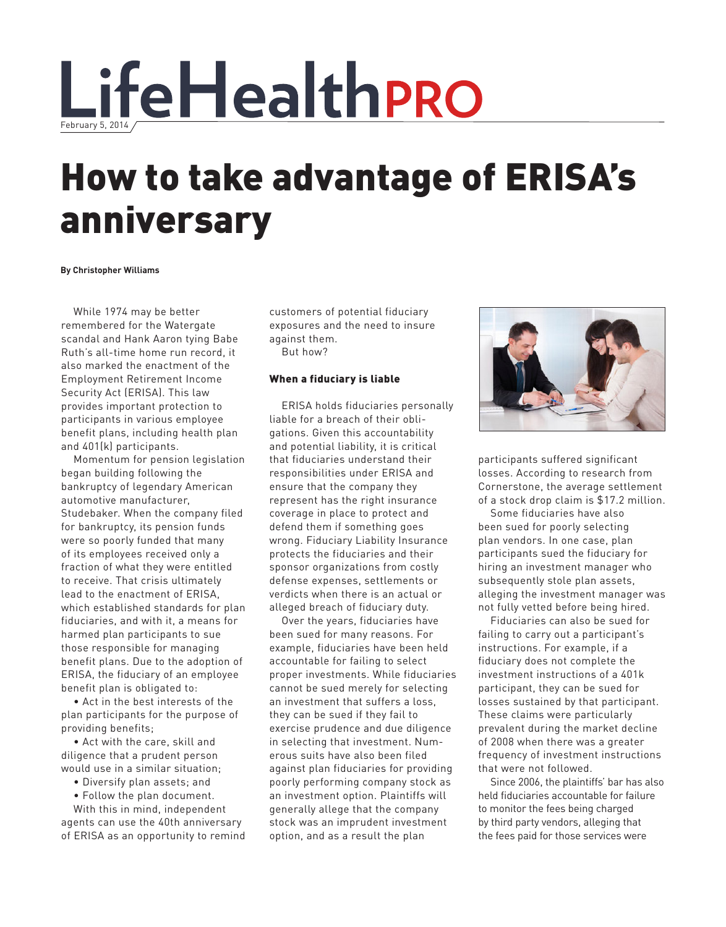

## How to take advantage of ERISA's anniversary

**By Christopher Williams**

While 1974 may be better remembered for the Watergate scandal and Hank Aaron tying Babe Ruth's all-time home run record, it also marked the enactment of the Employment Retirement Income Security Act (ERISA). This law provides important protection to participants in various employee benefit plans, including health plan and 401(k) participants.

Momentum for pension legislation began building following the bankruptcy of legendary American automotive manufacturer, Studebaker. When the company filed for bankruptcy, its pension funds were so poorly funded that many of its employees received only a fraction of what they were entitled to receive. That crisis ultimately lead to the enactment of ERISA, which established standards for plan fiduciaries, and with it, a means for harmed plan participants to sue those responsible for managing benefit plans. Due to the adoption of ERISA, the fiduciary of an employee benefit plan is obligated to:

• Act in the best interests of the plan participants for the purpose of providing benefits;

• Act with the care, skill and diligence that a prudent person would use in a similar situation;

- Diversify plan assets; and
- Follow the plan document.

With this in mind, independent agents can use the 40th anniversary of ERISA as an opportunity to remind customers of potential fiduciary exposures and the need to insure against them.

But how?

## When a fiduciary is liable

ERISA holds fiduciaries personally liable for a breach of their obligations. Given this accountability and potential liability, it is critical that fiduciaries understand their responsibilities under ERISA and ensure that the company they represent has the right insurance coverage in place to protect and defend them if something goes wrong. Fiduciary Liability Insurance protects the fiduciaries and their sponsor organizations from costly defense expenses, settlements or verdicts when there is an actual or alleged breach of fiduciary duty.

Over the years, fiduciaries have been sued for many reasons. For example, fiduciaries have been held accountable for failing to select proper investments. While fiduciaries cannot be sued merely for selecting an investment that suffers a loss, they can be sued if they fail to exercise prudence and due diligence in selecting that investment. Numerous suits have also been filed against plan fiduciaries for providing poorly performing company stock as an investment option. Plaintiffs will generally allege that the company stock was an imprudent investment option, and as a result the plan



participants suffered significant losses. According to research from Cornerstone, the average settlement of a stock drop claim is \$17.2 million.

Some fiduciaries have also been sued for poorly selecting plan vendors. In one case, plan participants sued the fiduciary for hiring an investment manager who subsequently stole plan assets, alleging the investment manager was not fully vetted before being hired.

Fiduciaries can also be sued for failing to carry out a participant's instructions. For example, if a fiduciary does not complete the investment instructions of a 401k participant, they can be sued for losses sustained by that participant. These claims were particularly prevalent during the market decline of 2008 when there was a greater frequency of investment instructions that were not followed.

Since 2006, the plaintiffs' bar has also held fiduciaries accountable for failure to monitor the fees being charged by third party vendors, alleging that the fees paid for those services were